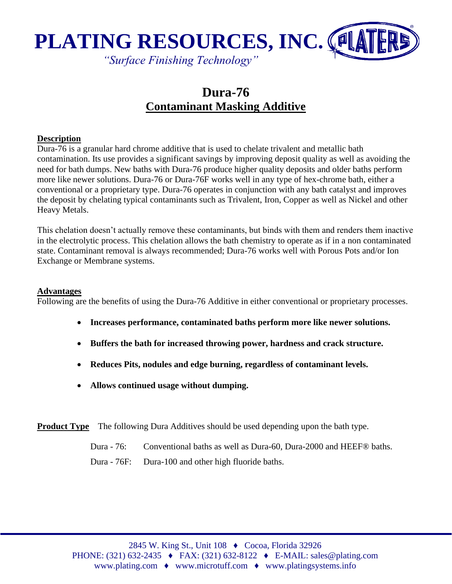

# **Dura-76 Contaminant Masking Additive**

#### **Description**

Dura-76 is a granular hard chrome additive that is used to chelate trivalent and metallic bath contamination. Its use provides a significant savings by improving deposit quality as well as avoiding the need for bath dumps. New baths with Dura-76 produce higher quality deposits and older baths perform more like newer solutions. Dura-76 or Dura-76F works well in any type of hex-chrome bath, either a conventional or a proprietary type. Dura-76 operates in conjunction with any bath catalyst and improves the deposit by chelating typical contaminants such as Trivalent, Iron, Copper as well as Nickel and other Heavy Metals.

This chelation doesn't actually remove these contaminants, but binds with them and renders them inactive in the electrolytic process. This chelation allows the bath chemistry to operate as if in a non contaminated state. Contaminant removal is always recommended; Dura-76 works well with Porous Pots and/or Ion Exchange or Membrane systems.

#### **Advantages**

Following are the benefits of using the Dura-76 Additive in either conventional or proprietary processes.

- **Increases performance, contaminated baths perform more like newer solutions.**
- **Buffers the bath for increased throwing power, hardness and crack structure.**
- **Reduces Pits, nodules and edge burning, regardless of contaminant levels.**
- **Allows continued usage without dumping.**

**Product Type** The following Dura Additives should be used depending upon the bath type.

Dura - 76: Conventional baths as well as Dura-60, Dura-2000 and HEEF® baths.

Dura - 76F: Dura-100 and other high fluoride baths.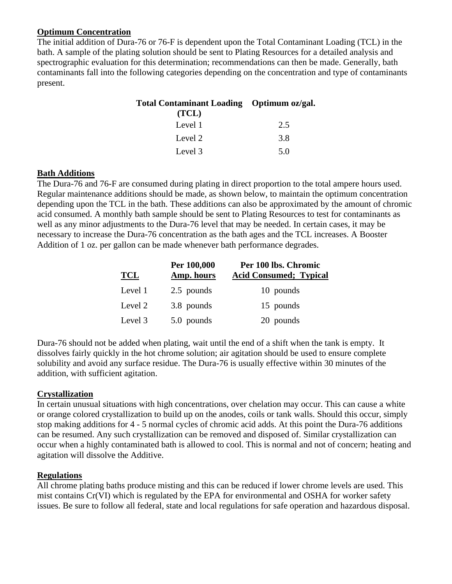### **Optimum Concentration**

The initial addition of Dura-76 or 76-F is dependent upon the Total Contaminant Loading (TCL) in the bath. A sample of the plating solution should be sent to Plating Resources for a detailed analysis and spectrographic evaluation for this determination; recommendations can then be made. Generally, bath contaminants fall into the following categories depending on the concentration and type of contaminants present.

| Total Contaminant Loading Optimum oz/gal. |     |  |
|-------------------------------------------|-----|--|
| (TCL)                                     |     |  |
| Level 1                                   | 2.5 |  |
| Level 2                                   | 3.8 |  |
| Level 3                                   | 5.0 |  |

#### **Bath Additions**

The Dura-76 and 76-F are consumed during plating in direct proportion to the total ampere hours used. Regular maintenance additions should be made, as shown below, to maintain the optimum concentration depending upon the TCL in the bath. These additions can also be approximated by the amount of chromic acid consumed. A monthly bath sample should be sent to Plating Resources to test for contaminants as well as any minor adjustments to the Dura-76 level that may be needed. In certain cases, it may be necessary to increase the Dura-76 concentration as the bath ages and the TCL increases. A Booster Addition of 1 oz. per gallon can be made whenever bath performance degrades.

| <b>TCL</b> | Per 100,000<br>Amp. hours | Per 100 lbs. Chromic<br><b>Acid Consumed; Typical</b> |
|------------|---------------------------|-------------------------------------------------------|
| Level 1    | 2.5 pounds                | 10 pounds                                             |
| Level 2    | 3.8 pounds                | 15 pounds                                             |
| Level 3    | 5.0 pounds                | 20 pounds                                             |

Dura-76 should not be added when plating, wait until the end of a shift when the tank is empty. It dissolves fairly quickly in the hot chrome solution; air agitation should be used to ensure complete solubility and avoid any surface residue. The Dura-76 is usually effective within 30 minutes of the addition, with sufficient agitation.

# **Crystallization**

In certain unusual situations with high concentrations, over chelation may occur. This can cause a white or orange colored crystallization to build up on the anodes, coils or tank walls. Should this occur, simply stop making additions for 4 - 5 normal cycles of chromic acid adds. At this point the Dura-76 additions can be resumed. Any such crystallization can be removed and disposed of. Similar crystallization can occur when a highly contaminated bath is allowed to cool. This is normal and not of concern; heating and agitation will dissolve the Additive.

# **Regulations**

All chrome plating baths produce misting and this can be reduced if lower chrome levels are used. This mist contains Cr(VI) which is regulated by the EPA for environmental and OSHA for worker safety issues. Be sure to follow all federal, state and local regulations for safe operation and hazardous disposal.